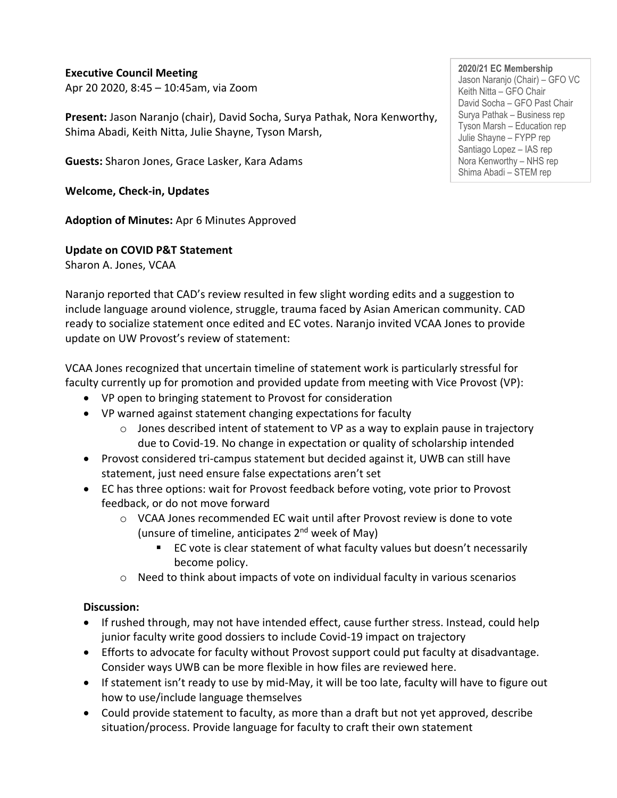#### **Executive Council Meeting**

Apr 20 2020, 8:45 – 10:45am, via Zoom

**Present:** Jason Naranjo (chair), David Socha, Surya Pathak, Nora Kenworthy, Shima Abadi, Keith Nitta, Julie Shayne, Tyson Marsh,

**Guests:** Sharon Jones, Grace Lasker, Kara Adams

**Welcome, Check-in, Updates** 

**Adoption of Minutes:** Apr 6 Minutes Approved

**Update on COVID P&T Statement**

Sharon A. Jones, VCAA

Naranjo reported that CAD's review resulted in few slight wording edits and a suggestion to include language around violence, struggle, trauma faced by Asian American community. CAD ready to socialize statement once edited and EC votes. Naranjo invited VCAA Jones to provide update on UW Provost's review of statement:

VCAA Jones recognized that uncertain timeline of statement work is particularly stressful for faculty currently up for promotion and provided update from meeting with Vice Provost (VP):

- VP open to bringing statement to Provost for consideration
- VP warned against statement changing expectations for faculty
	- $\circ$  Jones described intent of statement to VP as a way to explain pause in trajectory due to Covid-19. No change in expectation or quality of scholarship intended
- Provost considered tri-campus statement but decided against it, UWB can still have statement, just need ensure false expectations aren't set
- EC has three options: wait for Provost feedback before voting, vote prior to Provost feedback, or do not move forward
	- $\circ$  VCAA Jones recommended EC wait until after Provost review is done to vote (unsure of timeline, anticipates  $2<sup>nd</sup>$  week of May)
		- EC vote is clear statement of what faculty values but doesn't necessarily become policy.
	- $\circ$  Need to think about impacts of vote on individual faculty in various scenarios

## **Discussion:**

- If rushed through, may not have intended effect, cause further stress. Instead, could help junior faculty write good dossiers to include Covid-19 impact on trajectory
- Efforts to advocate for faculty without Provost support could put faculty at disadvantage. Consider ways UWB can be more flexible in how files are reviewed here.
- If statement isn't ready to use by mid-May, it will be too late, faculty will have to figure out how to use/include language themselves
- Could provide statement to faculty, as more than a draft but not yet approved, describe situation/process. Provide language for faculty to craft their own statement

**2020/21 EC Membership** Jason Naranjo (Chair) – GFO VC Keith Nitta – GFO Chair David Socha – GFO Past Chair Surya Pathak – Business rep Tyson Marsh – Education rep Julie Shayne – FYPP rep Santiago Lopez – IAS rep Nora Kenworthy – NHS rep Shima Abadi – STEM rep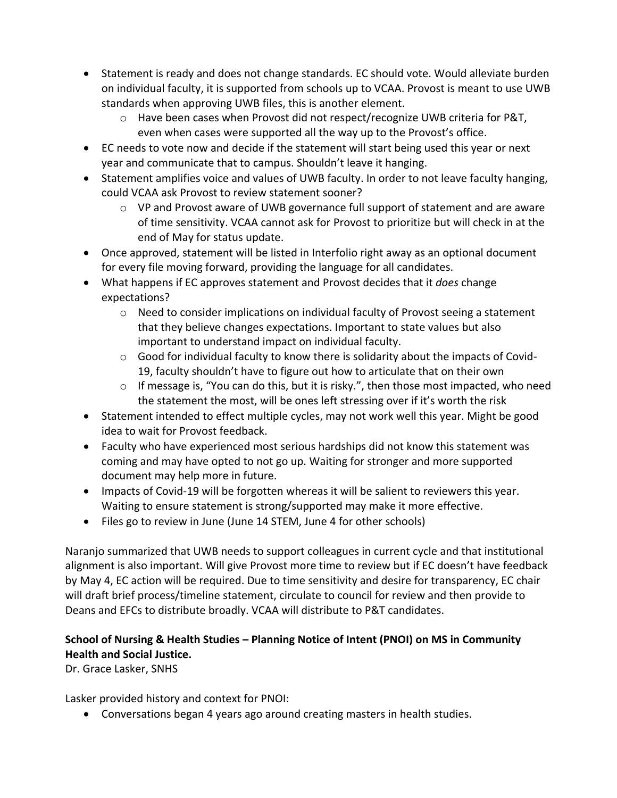- Statement is ready and does not change standards. EC should vote. Would alleviate burden on individual faculty, it is supported from schools up to VCAA. Provost is meant to use UWB standards when approving UWB files, this is another element.
	- o Have been cases when Provost did not respect/recognize UWB criteria for P&T, even when cases were supported all the way up to the Provost's office.
- EC needs to vote now and decide if the statement will start being used this year or next year and communicate that to campus. Shouldn't leave it hanging.
- Statement amplifies voice and values of UWB faculty. In order to not leave faculty hanging, could VCAA ask Provost to review statement sooner?
	- $\circ$  VP and Provost aware of UWB governance full support of statement and are aware of time sensitivity. VCAA cannot ask for Provost to prioritize but will check in at the end of May for status update.
- Once approved, statement will be listed in Interfolio right away as an optional document for every file moving forward, providing the language for all candidates.
- What happens if EC approves statement and Provost decides that it *does* change expectations?
	- $\circ$  Need to consider implications on individual faculty of Provost seeing a statement that they believe changes expectations. Important to state values but also important to understand impact on individual faculty.
	- $\circ$  Good for individual faculty to know there is solidarity about the impacts of Covid-19, faculty shouldn't have to figure out how to articulate that on their own
	- $\circ$  If message is, "You can do this, but it is risky.", then those most impacted, who need the statement the most, will be ones left stressing over if it's worth the risk
- Statement intended to effect multiple cycles, may not work well this year. Might be good idea to wait for Provost feedback.
- Faculty who have experienced most serious hardships did not know this statement was coming and may have opted to not go up. Waiting for stronger and more supported document may help more in future.
- Impacts of Covid-19 will be forgotten whereas it will be salient to reviewers this year. Waiting to ensure statement is strong/supported may make it more effective.
- Files go to review in June (June 14 STEM, June 4 for other schools)

Naranjo summarized that UWB needs to support colleagues in current cycle and that institutional alignment is also important. Will give Provost more time to review but if EC doesn't have feedback by May 4, EC action will be required. Due to time sensitivity and desire for transparency, EC chair will draft brief process/timeline statement, circulate to council for review and then provide to Deans and EFCs to distribute broadly. VCAA will distribute to P&T candidates.

# **School of Nursing & Health Studies – Planning Notice of Intent (PNOI) on MS in Community Health and Social Justice.**

Dr. Grace Lasker, SNHS

Lasker provided history and context for PNOI:

• Conversations began 4 years ago around creating masters in health studies.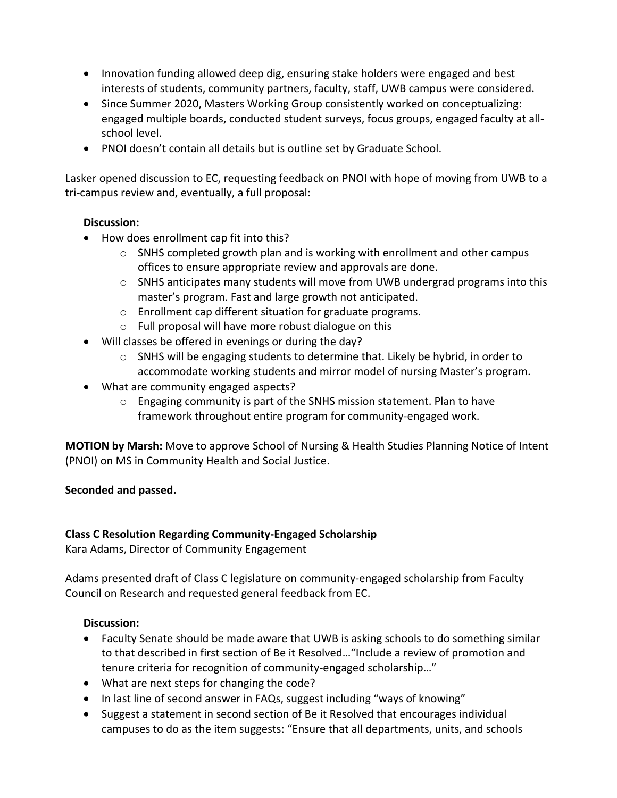- Innovation funding allowed deep dig, ensuring stake holders were engaged and best interests of students, community partners, faculty, staff, UWB campus were considered.
- Since Summer 2020, Masters Working Group consistently worked on conceptualizing: engaged multiple boards, conducted student surveys, focus groups, engaged faculty at allschool level.
- PNOI doesn't contain all details but is outline set by Graduate School.

Lasker opened discussion to EC, requesting feedback on PNOI with hope of moving from UWB to a tri-campus review and, eventually, a full proposal:

## **Discussion:**

- How does enrollment cap fit into this?
	- $\circ$  SNHS completed growth plan and is working with enrollment and other campus offices to ensure appropriate review and approvals are done.
	- o SNHS anticipates many students will move from UWB undergrad programs into this master's program. Fast and large growth not anticipated.
	- o Enrollment cap different situation for graduate programs.
	- o Full proposal will have more robust dialogue on this
- Will classes be offered in evenings or during the day?
	- $\circ$  SNHS will be engaging students to determine that. Likely be hybrid, in order to accommodate working students and mirror model of nursing Master's program.
- What are community engaged aspects?
	- o Engaging community is part of the SNHS mission statement. Plan to have framework throughout entire program for community-engaged work.

**MOTION by Marsh:** Move to approve School of Nursing & Health Studies Planning Notice of Intent (PNOI) on MS in Community Health and Social Justice.

#### **Seconded and passed.**

#### **Class C Resolution Regarding Community-Engaged Scholarship**

Kara Adams, Director of Community Engagement

Adams presented draft of Class C legislature on community-engaged scholarship from Faculty Council on Research and requested general feedback from EC.

#### **Discussion:**

- Faculty Senate should be made aware that UWB is asking schools to do something similar to that described in first section of Be it Resolved…"Include a review of promotion and tenure criteria for recognition of community-engaged scholarship…"
- What are next steps for changing the code?
- In last line of second answer in FAQs, suggest including "ways of knowing"
- Suggest a statement in second section of Be it Resolved that encourages individual campuses to do as the item suggests: "Ensure that all departments, units, and schools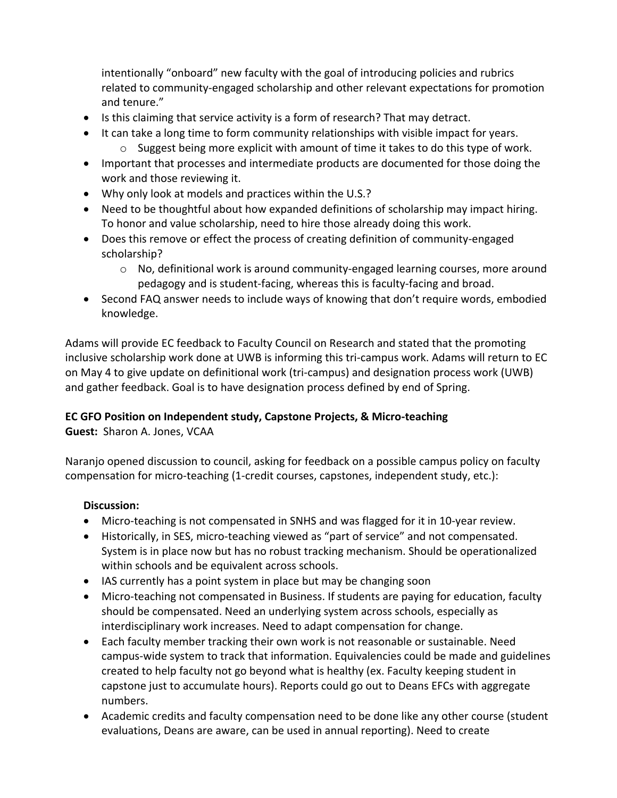intentionally "onboard" new faculty with the goal of introducing policies and rubrics related to community-engaged scholarship and other relevant expectations for promotion and tenure."

- Is this claiming that service activity is a form of research? That may detract.
- It can take a long time to form community relationships with visible impact for years.
	- $\circ$  Suggest being more explicit with amount of time it takes to do this type of work.
- Important that processes and intermediate products are documented for those doing the work and those reviewing it.
- Why only look at models and practices within the U.S.?
- Need to be thoughtful about how expanded definitions of scholarship may impact hiring. To honor and value scholarship, need to hire those already doing this work.
- Does this remove or effect the process of creating definition of community-engaged scholarship?
	- o No, definitional work is around community-engaged learning courses, more around pedagogy and is student-facing, whereas this is faculty-facing and broad.
- Second FAQ answer needs to include ways of knowing that don't require words, embodied knowledge.

Adams will provide EC feedback to Faculty Council on Research and stated that the promoting inclusive scholarship work done at UWB is informing this tri-campus work. Adams will return to EC on May 4 to give update on definitional work (tri-campus) and designation process work (UWB) and gather feedback. Goal is to have designation process defined by end of Spring.

## **EC GFO Position on Independent study, Capstone Projects, & Micro-teaching**

**Guest:** Sharon A. Jones, VCAA

Naranjo opened discussion to council, asking for feedback on a possible campus policy on faculty compensation for micro-teaching (1-credit courses, capstones, independent study, etc.):

## **Discussion:**

- Micro-teaching is not compensated in SNHS and was flagged for it in 10-year review.
- Historically, in SES, micro-teaching viewed as "part of service" and not compensated. System is in place now but has no robust tracking mechanism. Should be operationalized within schools and be equivalent across schools.
- IAS currently has a point system in place but may be changing soon
- Micro-teaching not compensated in Business. If students are paying for education, faculty should be compensated. Need an underlying system across schools, especially as interdisciplinary work increases. Need to adapt compensation for change.
- Each faculty member tracking their own work is not reasonable or sustainable. Need campus-wide system to track that information. Equivalencies could be made and guidelines created to help faculty not go beyond what is healthy (ex. Faculty keeping student in capstone just to accumulate hours). Reports could go out to Deans EFCs with aggregate numbers.
- Academic credits and faculty compensation need to be done like any other course (student evaluations, Deans are aware, can be used in annual reporting). Need to create